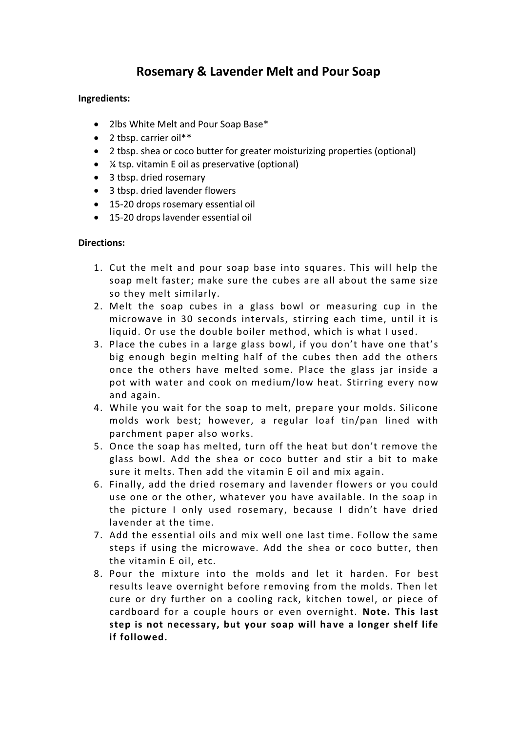## **Rosemary & Lavender Melt and Pour Soap**

## **Ingredients:**

- 2lbs White Melt and Pour Soap Base\*
- 2 tbsp. carrier oil\*\*
- 2 tbsp. shea or coco butter for greater moisturizing properties (optional)
- ¼ tsp. vitamin E oil as preservative (optional)
- 3 tbsp. dried rosemary
- 3 tbsp. dried lavender flowers
- 15-20 drops rosemary essential oil
- 15-20 drops lavender essential oil

## **Directions:**

- 1. Cut the melt and pour soap base into squares. This will help the soap melt faster; make sure the cubes are all about the same size so they melt similarly.
- 2. Melt the soap cubes in a glass bowl or measuring cup in the microwave in 30 seconds intervals, stirring each time, until it is liquid. Or use the double boiler method, which is what I used.
- 3. Place the cubes in a large glass bowl, if you don't have one that's big enough begin melting half of the cubes then add the others once the others have melted some. Place the glass jar inside a pot with water and cook on medium/low heat. Stirring every now and again.
- 4. While you wait for the soap to melt, prepare your molds. Silicone molds work best; however, a regular loaf tin/pan lined with parchment paper also works.
- 5. Once the soap has melted, turn off the heat but don't remove the glass bowl. Add the shea or coco butter and stir a bit to make sure it melts. Then add the vitamin E oil and mix again.
- 6. Finally, add the dried rosemary and lavender flowers or you could use one or the other, whatever you have available. In the soap in the picture I only used rosemary, because I didn't have dried lavender at the time.
- 7. Add the essential oils and mix well one last time. Follow the same steps if using the microwave. Add the shea or coco butter, then the vitamin E oil, etc.
- 8. Pour the mixture into the molds and let it harden. For best results leave overnight before removing from the molds. Then let cure or dry further on a cooling rack, kitchen towel, or piece of cardboard for a couple hours or even overnight. **Note. This last step is not necessary, but your soap will have a longer shelf life if followed.**